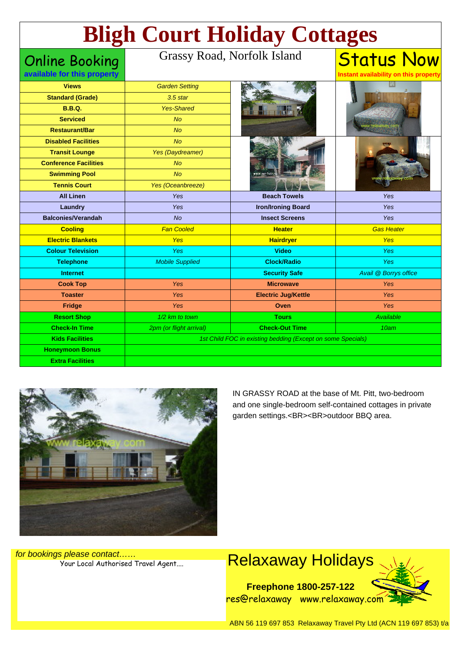# **Bligh Court Holiday Cottages**

## Online Booking

### Grassy Road, Norfolk Island

**available for this property**

#### **Status Now Instant availability on this property**

| <b>Views</b>                 | <b>Garden Setting</b>   |                                                             |                       |
|------------------------------|-------------------------|-------------------------------------------------------------|-----------------------|
| <b>Standard (Grade)</b>      | $3.5$ star              |                                                             |                       |
| <b>B.B.Q.</b>                | <b>Yes-Shared</b>       |                                                             |                       |
| <b>Serviced</b>              | No                      |                                                             |                       |
| <b>Restaurant/Bar</b>        | <b>No</b>               |                                                             |                       |
| <b>Disabled Facilities</b>   | <b>No</b>               |                                                             |                       |
| <b>Transit Lounge</b>        | Yes (Daydreamer)        |                                                             |                       |
| <b>Conference Facilities</b> | <b>No</b>               |                                                             |                       |
| <b>Swimming Pool</b>         | No                      | www.norfolk                                                 |                       |
| <b>Tennis Court</b>          | Yes (Oceanbreeze)       |                                                             |                       |
| <b>All Linen</b>             | Yes                     | <b>Beach Towels</b>                                         | Yes                   |
| Laundry                      | Yes                     | <b>Iron/Ironing Board</b>                                   | Yes                   |
| <b>Balconies/Verandah</b>    | <b>No</b>               | <b>Insect Screens</b>                                       | Yes                   |
| <b>Cooling</b>               | <b>Fan Cooled</b>       | <b>Heater</b>                                               | <b>Gas Heater</b>     |
| <b>Electric Blankets</b>     | <b>Yes</b>              | <b>Hairdryer</b>                                            | Yes                   |
| <b>Colour Television</b>     | Yes                     | <b>Video</b>                                                | Yes                   |
|                              |                         |                                                             |                       |
| <b>Telephone</b>             | <b>Mobile Supplied</b>  | <b>Clock/Radio</b>                                          | Yes                   |
| <b>Internet</b>              |                         | <b>Security Safe</b>                                        | Avail @ Borrys office |
| <b>Cook Top</b>              | Yes                     | <b>Microwave</b>                                            | <b>Yes</b>            |
| <b>Toaster</b>               | Yes                     | <b>Electric Jug/Kettle</b>                                  | Yes                   |
| Fridge                       | Yes                     | Oven                                                        | Yes                   |
| <b>Resort Shop</b>           | 1/2 km to town          | <b>Tours</b>                                                | Available             |
| <b>Check-In Time</b>         | 2pm (or flight arrival) | <b>Check-Out Time</b>                                       | 10am                  |
| <b>Kids Facilities</b>       |                         | 1st Child FOC in existing bedding (Except on some Specials) |                       |
| <b>Honeymoon Bonus</b>       |                         |                                                             |                       |



IN GRASSY ROAD at the base of Mt. Pitt, two-bedroom and one single-bedroom self-contained cottages in private garden settings.<BR><BR>outdoor BBQ area.

for bookings please contact……